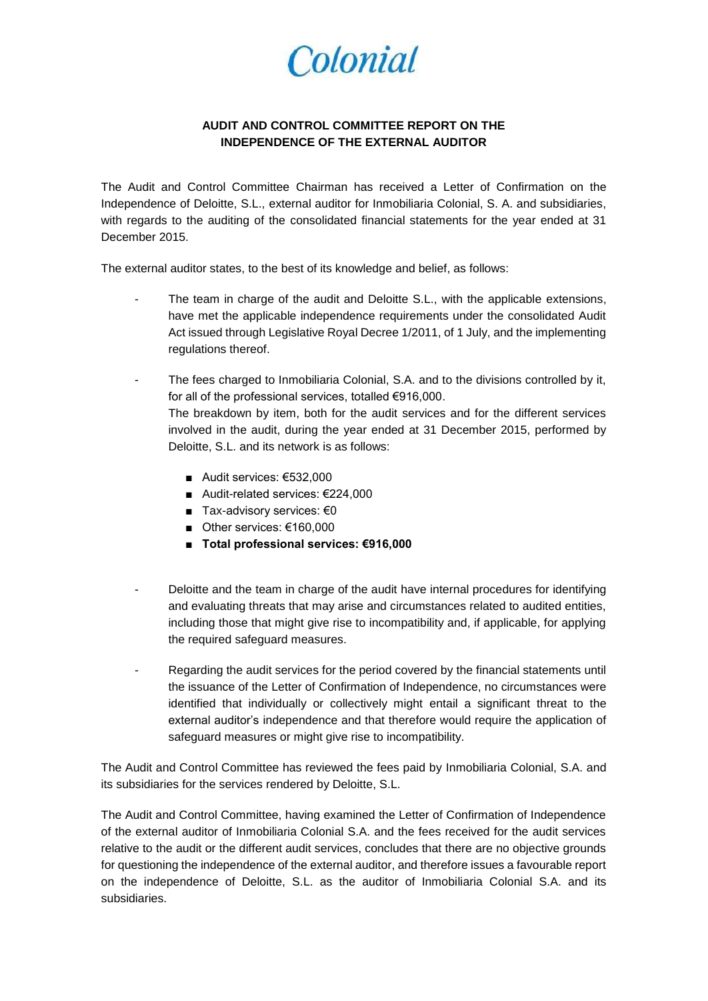Colonial

## **AUDIT AND CONTROL COMMITTEE REPORT ON THE INDEPENDENCE OF THE EXTERNAL AUDITOR**

The Audit and Control Committee Chairman has received a Letter of Confirmation on the Independence of Deloitte, S.L., external auditor for Inmobiliaria Colonial, S. A. and subsidiaries, with regards to the auditing of the consolidated financial statements for the year ended at 31 December 2015.

The external auditor states, to the best of its knowledge and belief, as follows:

- The team in charge of the audit and Deloitte S.L., with the applicable extensions, have met the applicable independence requirements under the consolidated Audit Act issued through Legislative Royal Decree 1/2011, of 1 July, and the implementing regulations thereof.
- The fees charged to Inmobiliaria Colonial, S.A. and to the divisions controlled by it, for all of the professional services, totalled €916,000. The breakdown by item, both for the audit services and for the different services involved in the audit, during the year ended at 31 December 2015, performed by Deloitte, S.L. and its network is as follows:
	- Audit services: €532,000
	- Audit-related services: €224,000
	- Tax-advisory services: €0
	- Other services: €160,000
	- **Total professional services: €916,000**
- Deloitte and the team in charge of the audit have internal procedures for identifying and evaluating threats that may arise and circumstances related to audited entities, including those that might give rise to incompatibility and, if applicable, for applying the required safeguard measures.
- Regarding the audit services for the period covered by the financial statements until the issuance of the Letter of Confirmation of Independence, no circumstances were identified that individually or collectively might entail a significant threat to the external auditor's independence and that therefore would require the application of safeguard measures or might give rise to incompatibility.

The Audit and Control Committee has reviewed the fees paid by Inmobiliaria Colonial, S.A. and its subsidiaries for the services rendered by Deloitte, S.L.

The Audit and Control Committee, having examined the Letter of Confirmation of Independence of the external auditor of Inmobiliaria Colonial S.A. and the fees received for the audit services relative to the audit or the different audit services, concludes that there are no objective grounds for questioning the independence of the external auditor, and therefore issues a favourable report on the independence of Deloitte, S.L. as the auditor of Inmobiliaria Colonial S.A. and its subsidiaries.